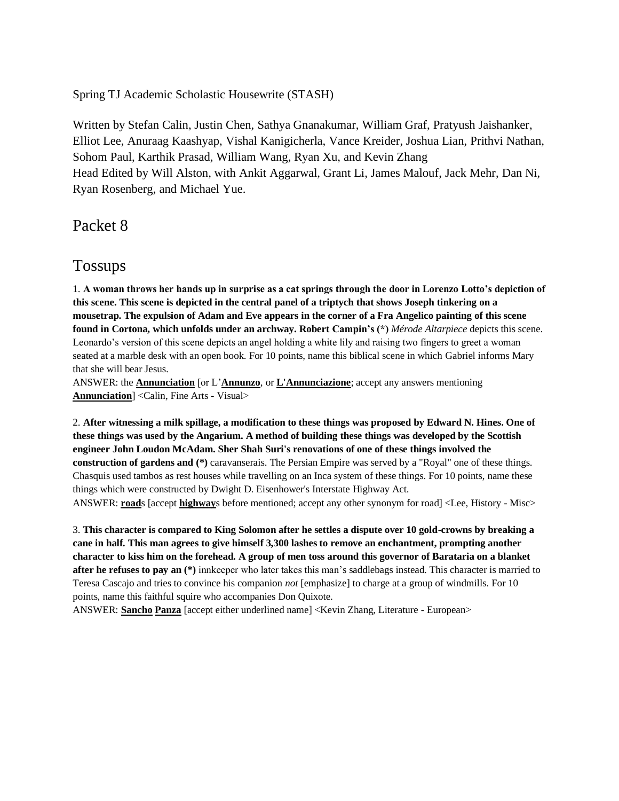Spring TJ Academic Scholastic Housewrite (STASH)

Written by Stefan Calin, Justin Chen, Sathya Gnanakumar, William Graf, Pratyush Jaishanker, Elliot Lee, Anuraag Kaashyap, Vishal Kanigicherla, Vance Kreider, Joshua Lian, Prithvi Nathan, Sohom Paul, Karthik Prasad, William Wang, Ryan Xu, and Kevin Zhang Head Edited by Will Alston, with Ankit Aggarwal, Grant Li, James Malouf, Jack Mehr, Dan Ni, Ryan Rosenberg, and Michael Yue.

Packet 8

# Tossups

1. **A woman throws her hands up in surprise as a cat springs through the door in Lorenzo Lotto's depiction of this scene. This scene is depicted in the central panel of a triptych that shows Joseph tinkering on a mousetrap. The expulsion of Adam and Eve appears in the corner of a Fra Angelico painting of this scene found in Cortona, which unfolds under an archway. Robert Campin's (\*)** *Mérode Altarpiece* depicts this scene. Leonardo's version of this scene depicts an angel holding a white lily and raising two fingers to greet a woman seated at a marble desk with an open book. For 10 points, name this biblical scene in which Gabriel informs Mary that she will bear Jesus.

ANSWER: the **Annunciation** [or L'**Annunzo**, or **L'Annunciazione**; accept any answers mentioning **Annunciation**] <Calin, Fine Arts - Visual>

2. **After witnessing a milk spillage, a modification to these things was proposed by Edward N. Hines. One of these things was used by the Angarium. A method of building these things was developed by the Scottish engineer John Loudon McAdam. Sher Shah Suri's renovations of one of these things involved the construction of gardens and (\*)** caravanserais. The Persian Empire was served by a "Royal" one of these things. Chasquis used tambos as rest houses while travelling on an Inca system of these things. For 10 points, name these things which were constructed by Dwight D. Eisenhower's Interstate Highway Act. ANSWER: **road**s [accept **highway**s before mentioned; accept any other synonym for road] <Lee, History - Misc>

3. **This character is compared to King Solomon after he settles a dispute over 10 gold-crowns by breaking a cane in half. This man agrees to give himself 3,300 lashes to remove an enchantment, prompting another character to kiss him on the forehead. A group of men toss around this governor of Barataria on a blanket after he refuses to pay an (\*)** innkeeper who later takes this man's saddlebags instead. This character is married to Teresa Cascajo and tries to convince his companion *not* [emphasize] to charge at a group of windmills. For 10 points, name this faithful squire who accompanies Don Quixote.

ANSWER: **Sancho Panza** [accept either underlined name] <Kevin Zhang, Literature - European>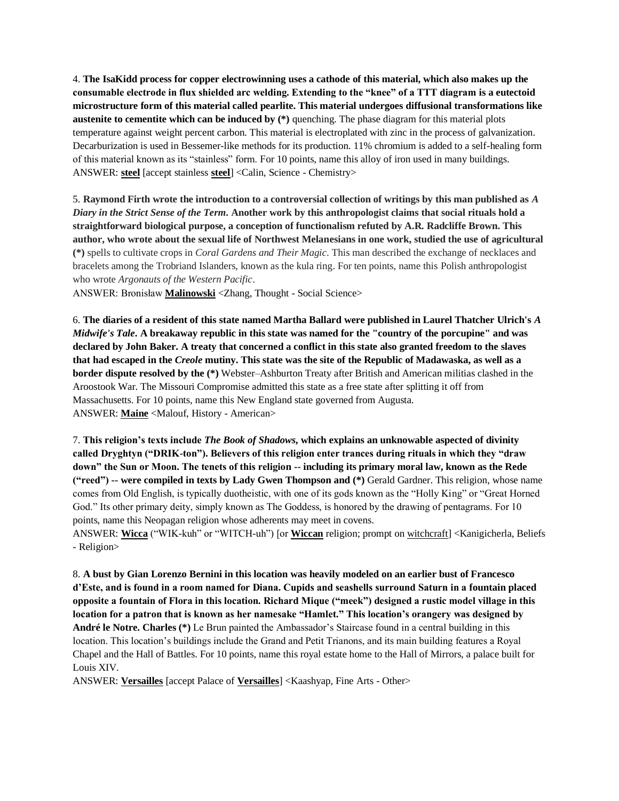4. **The IsaKidd process for copper electrowinning uses a cathode of this material, which also makes up the consumable electrode in flux shielded arc welding. Extending to the "knee" of a TTT diagram is a eutectoid microstructure form of this material called pearlite. This material undergoes diffusional transformations like austenite to cementite which can be induced by (\*)** quenching. The phase diagram for this material plots temperature against weight percent carbon. This material is electroplated with zinc in the process of galvanization. Decarburization is used in Bessemer-like methods for its production. 11% chromium is added to a self-healing form of this material known as its "stainless" form. For 10 points, name this alloy of iron used in many buildings. ANSWER: **steel** [accept stainless **steel**] <Calin, Science - Chemistry>

5. **Raymond Firth wrote the introduction to a controversial collection of writings by this man published as** *A Diary in the Strict Sense of the Term***. Another work by this anthropologist claims that social rituals hold a straightforward biological purpose, a conception of functionalism refuted by A.R. Radcliffe Brown. This author, who wrote about the sexual life of Northwest Melanesians in one work, studied the use of agricultural (\*)** spells to cultivate crops in *Coral Gardens and Their Magic*. This man described the exchange of necklaces and bracelets among the Trobriand Islanders, known as the kula ring. For ten points, name this Polish anthropologist who wrote *Argonauts of the Western Pacific*.

ANSWER: Bronisław **Malinowski** <Zhang, Thought - Social Science>

6. **The diaries of a resident of this state named Martha Ballard were published in Laurel Thatcher Ulrich's** *A Midwife's Tale***. A breakaway republic in this state was named for the "country of the porcupine" and was declared by John Baker. A treaty that concerned a conflict in this state also granted freedom to the slaves that had escaped in the** *Creole* **mutiny. This state was the site of the Republic of Madawaska, as well as a border dispute resolved by the (\*)** Webster–Ashburton Treaty after British and American militias clashed in the Aroostook War. The Missouri Compromise admitted this state as a free state after splitting it off from Massachusetts. For 10 points, name this New England state governed from Augusta. ANSWER: **Maine** <Malouf, History - American>

7. **This religion's texts include** *The Book of Shadows***, which explains an unknowable aspected of divinity called Dryghtyn ("DRIK-ton"). Believers of this religion enter trances during rituals in which they "draw down" the Sun or Moon. The tenets of this religion -- including its primary moral law, known as the Rede ("reed") -- were compiled in texts by Lady Gwen Thompson and (\*)** Gerald Gardner. This religion, whose name comes from Old English, is typically duotheistic, with one of its gods known as the "Holly King" or "Great Horned God." Its other primary deity, simply known as The Goddess, is honored by the drawing of pentagrams. For 10 points, name this Neopagan religion whose adherents may meet in covens.

ANSWER: **Wicca** ("WIK-kuh" or "WITCH-uh") [or **Wiccan** religion; prompt on witchcraft] <Kanigicherla, Beliefs - Religion>

8. **A bust by Gian Lorenzo Bernini in this location was heavily modeled on an earlier bust of Francesco d'Este, and is found in a room named for Diana. Cupids and seashells surround Saturn in a fountain placed opposite a fountain of Flora in this location. Richard Mique ("meek") designed a rustic model village in this location for a patron that is known as her namesake "Hamlet." This location's orangery was designed by André le Notre. Charles (\*)** Le Brun painted the Ambassador's Staircase found in a central building in this location. This location's buildings include the Grand and Petit Trianons, and its main building features a Royal Chapel and the Hall of Battles. For 10 points, name this royal estate home to the Hall of Mirrors, a palace built for Louis XIV.

ANSWER: **Versailles** [accept Palace of **Versailles**] <Kaashyap, Fine Arts - Other>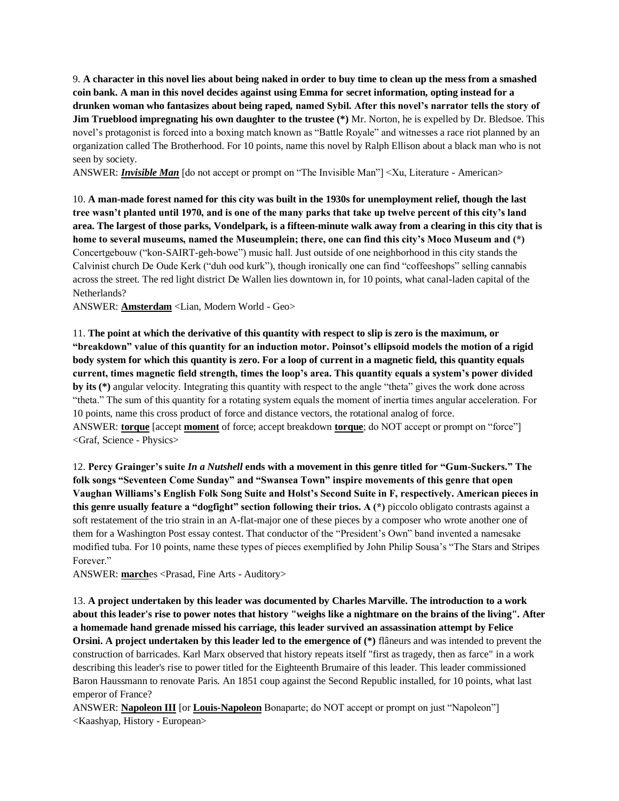9. **A character in this novel lies about being naked in order to buy time to clean up the mess from a smashed coin bank. A man in this novel decides against using Emma for secret information, opting instead for a drunken woman who fantasizes about being raped, named Sybil. After this novel's narrator tells the story of Jim Trueblood impregnating his own daughter to the trustee (\*)** Mr. Norton, he is expelled by Dr. Bledsoe. This novel's protagonist is forced into a boxing match known as "Battle Royale" and witnesses a race riot planned by an organization called The Brotherhood. For 10 points, name this novel by Ralph Ellison about a black man who is not seen by society.

ANSWER: *Invisible Man* [do not accept or prompt on "The Invisible Man"] <Xu, Literature - American>

10. **A man-made forest named for this city was built in the 1930s for unemployment relief, though the last tree wasn't planted until 1970, and is one of the many parks that take up twelve percent of this city's land area. The largest of those parks, Vondelpark, is a fifteen-minute walk away from a clearing in this city that is home to several museums, named the Museumplein; there, one can find this city's Moco Museum and (\*)**  Concertgebouw ("kon-SAIRT-geh-bowe") music hall. Just outside of one neighborhood in this city stands the Calvinist church De Oude Kerk ("duh ood kurk"), though ironically one can find "coffeeshops" selling cannabis across the street. The red light district De Wallen lies downtown in, for 10 points, what canal-laden capital of the Netherlands?

ANSWER: **Amsterdam** <Lian, Modern World - Geo>

11. **The point at which the derivative of this quantity with respect to slip is zero is the maximum, or "breakdown" value of this quantity for an induction motor. Poinsot's ellipsoid models the motion of a rigid body system for which this quantity is zero. For a loop of current in a magnetic field, this quantity equals current, times magnetic field strength, times the loop's area. This quantity equals a system's power divided by its (\*)** angular velocity. Integrating this quantity with respect to the angle "theta" gives the work done across "theta." The sum of this quantity for a rotating system equals the moment of inertia times angular acceleration. For 10 points, name this cross product of force and distance vectors, the rotational analog of force. ANSWER: **torque** [accept **moment** of force; accept breakdown **torque**; do NOT accept or prompt on "force"] <Graf, Science - Physics>

12. **Percy Grainger's suite** *In a Nutshell* **ends with a movement in this genre titled for "Gum-Suckers." The folk songs "Seventeen Come Sunday" and "Swansea Town" inspire movements of this genre that open Vaughan Williams's English Folk Song Suite and Holst's Second Suite in F, respectively. American pieces in this genre usually feature a "dogfight" section following their trios. A (\*)** piccolo obligato contrasts against a soft restatement of the trio strain in an A-flat-major one of these pieces by a composer who wrote another one of them for a Washington Post essay contest. That conductor of the "President's Own" band invented a namesake modified tuba. For 10 points, name these types of pieces exemplified by John Philip Sousa's "The Stars and Stripes Forever."

ANSWER: **march**es <Prasad, Fine Arts - Auditory>

13. **A project undertaken by this leader was documented by Charles Marville. The introduction to a work about this leader's rise to power notes that history "weighs like a nightmare on the brains of the living". After a homemade hand grenade missed his carriage, this leader survived an assassination attempt by Felice Orsini. A project undertaken by this leader led to the emergence of (\*)** flâneurs and was intended to prevent the construction of barricades. Karl Marx observed that history repeats itself "first as tragedy, then as farce" in a work describing this leader's rise to power titled for the Eighteenth Brumaire of this leader. This leader commissioned Baron Haussmann to renovate Paris. An 1851 coup against the Second Republic installed, for 10 points, what last emperor of France?

ANSWER: **Napoleon III** [or **Louis-Napoleon** Bonaparte; do NOT accept or prompt on just "Napoleon"] <Kaashyap, History - European>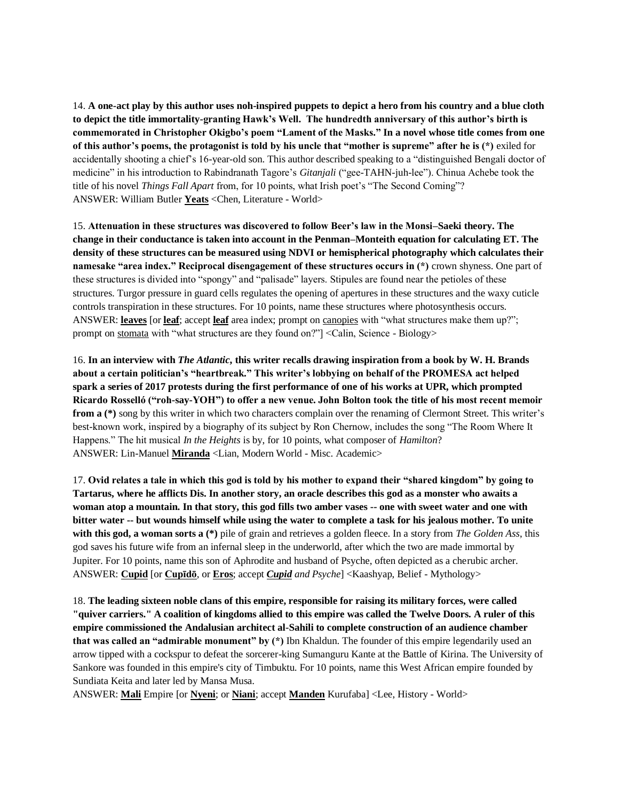14. **A one-act play by this author uses noh-inspired puppets to depict a hero from his country and a blue cloth to depict the title immortality-granting Hawk's Well. The hundredth anniversary of this author's birth is commemorated in Christopher Okigbo's poem "Lament of the Masks." In a novel whose title comes from one of this author's poems, the protagonist is told by his uncle that "mother is supreme" after he is (\*)** exiled for accidentally shooting a chief's 16-year-old son. This author described speaking to a "distinguished Bengali doctor of medicine" in his introduction to Rabindranath Tagore's *Gitanjali* ("gee-TAHN-juh-lee"). Chinua Achebe took the title of his novel *Things Fall Apart* from, for 10 points, what Irish poet's "The Second Coming"? ANSWER: William Butler **Yeats** <Chen, Literature - World>

15. **Attenuation in these structures was discovered to follow Beer's law in the Monsi–Saeki theory. The change in their conductance is taken into account in the Penman–Monteith equation for calculating ET. The density of these structures can be measured using NDVI or hemispherical photography which calculates their namesake "area index." Reciprocal disengagement of these structures occurs in (\*)** crown shyness. One part of these structures is divided into "spongy" and "palisade" layers. Stipules are found near the petioles of these structures. Turgor pressure in guard cells regulates the opening of apertures in these structures and the waxy cuticle controls transpiration in these structures. For 10 points, name these structures where photosynthesis occurs. ANSWER: **leaves** [or **leaf**; accept **leaf** area index; prompt on canopies with "what structures make them up?"; prompt on stomata with "what structures are they found on?"] <Calin, Science - Biology>

16. **In an interview with** *The Atlantic***, this writer recalls drawing inspiration from a book by W. H. Brands about a certain politician's "heartbreak." This writer's lobbying on behalf of the PROMESA act helped spark a series of 2017 protests during the first performance of one of his works at UPR, which prompted Ricardo Rosselló ("roh-say-YOH") to offer a new venue. John Bolton took the title of his most recent memoir from a** (\*) song by this writer in which two characters complain over the renaming of Clermont Street. This writer's best-known work, inspired by a biography of its subject by Ron Chernow, includes the song "The Room Where It Happens." The hit musical *In the Heights* is by, for 10 points, what composer of *Hamilton*? ANSWER: Lin-Manuel **Miranda** <Lian, Modern World - Misc. Academic>

17. **Ovid relates a tale in which this god is told by his mother to expand their "shared kingdom" by going to Tartarus, where he afflicts Dis. In another story, an oracle describes this god as a monster who awaits a woman atop a mountain. In that story, this god fills two amber vases -- one with sweet water and one with bitter water -- but wounds himself while using the water to complete a task for his jealous mother. To unite with this god, a woman sorts a (\*)** pile of grain and retrieves a golden fleece. In a story from *The Golden Ass*, this god saves his future wife from an infernal sleep in the underworld, after which the two are made immortal by Jupiter. For 10 points, name this son of Aphrodite and husband of Psyche, often depicted as a cherubic archer. ANSWER: **Cupid** [or **Cupīdō**, or **Eros**; accept *Cupid and Psyche*] <Kaashyap, Belief - Mythology>

18. **The leading sixteen noble clans of this empire, responsible for raising its military forces, were called "quiver carriers." A coalition of kingdoms allied to this empire was called the Twelve Doors. A ruler of this empire commissioned the Andalusian architect al-Sahili to complete construction of an audience chamber that was called an "admirable monument" by (\*)** Ibn Khaldun. The founder of this empire legendarily used an arrow tipped with a cockspur to defeat the sorcerer-king Sumanguru Kante at the Battle of Kirina. The University of Sankore was founded in this empire's city of Timbuktu. For 10 points, name this West African empire founded by Sundiata Keita and later led by Mansa Musa.

ANSWER: **Mali** Empire [or **Nyeni**; or **Niani**; accept **Manden** Kurufaba] <Lee, History - World>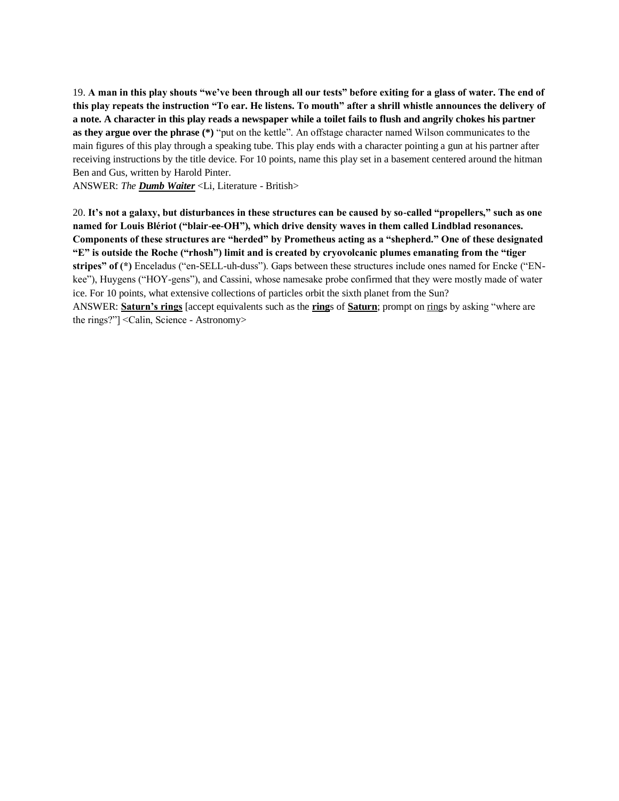19. **A man in this play shouts "we've been through all our tests" before exiting for a glass of water. The end of this play repeats the instruction "To ear. He listens. To mouth" after a shrill whistle announces the delivery of a note. A character in this play reads a newspaper while a toilet fails to flush and angrily chokes his partner as they argue over the phrase (\*)** "put on the kettle". An offstage character named Wilson communicates to the main figures of this play through a speaking tube. This play ends with a character pointing a gun at his partner after receiving instructions by the title device. For 10 points, name this play set in a basement centered around the hitman Ben and Gus, written by Harold Pinter.

ANSWER: *The Dumb Waiter* <Li, Literature - British>

20. **It's not a galaxy, but disturbances in these structures can be caused by so-called "propellers," such as one named for Louis Blériot ("blair-ee-OH"), which drive density waves in them called Lindblad resonances. Components of these structures are "herded" by Prometheus acting as a "shepherd." One of these designated "E" is outside the Roche ("rhosh") limit and is created by cryovolcanic plumes emanating from the "tiger stripes" of (\*)** Enceladus ("en-SELL-uh-duss"). Gaps between these structures include ones named for Encke ("ENkee"), Huygens ("HOY-gens"), and Cassini, whose namesake probe confirmed that they were mostly made of water ice. For 10 points, what extensive collections of particles orbit the sixth planet from the Sun? ANSWER: **Saturn's rings** [accept equivalents such as the **ring**s of **Saturn**; prompt on rings by asking "where are

the rings?"] <Calin, Science - Astronomy>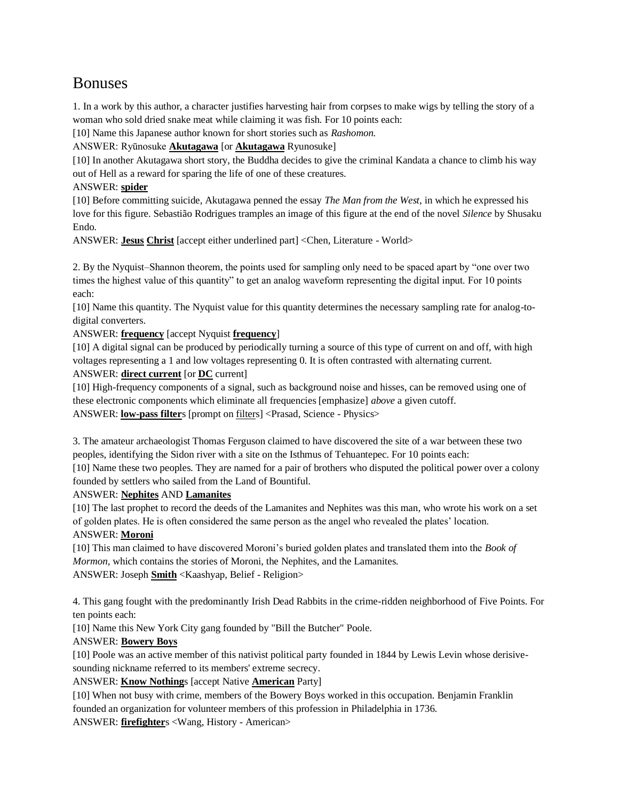# Bonuses

1. In a work by this author, a character justifies harvesting hair from corpses to make wigs by telling the story of a woman who sold dried snake meat while claiming it was fish. For 10 points each:

[10] Name this Japanese author known for short stories such as *Rashomon.*

ANSWER: Ryūnosuke **Akutagawa** [or **Akutagawa** Ryunosuke]

[10] In another Akutagawa short story, the Buddha decides to give the criminal Kandata a chance to climb his way out of Hell as a reward for sparing the life of one of these creatures.

#### ANSWER: **spider**

[10] Before committing suicide, Akutagawa penned the essay *The Man from the West*, in which he expressed his love for this figure. Sebastião Rodrigues tramples an image of this figure at the end of the novel *Silence* by Shusaku Endo.

ANSWER: **Jesus Christ** [accept either underlined part] <Chen, Literature - World>

2. By the Nyquist–Shannon theorem, the points used for sampling only need to be spaced apart by "one over two times the highest value of this quantity" to get an analog waveform representing the digital input. For 10 points each:

[10] Name this quantity. The Nyquist value for this quantity determines the necessary sampling rate for analog-todigital converters.

ANSWER: **frequency** [accept Nyquist **frequency**]

[10] A digital signal can be produced by periodically turning a source of this type of current on and off, with high voltages representing a 1 and low voltages representing 0. It is often contrasted with alternating current. ANSWER: **direct current** [or **DC** current]

[10] High-frequency components of a signal, such as background noise and hisses, can be removed using one of these electronic components which eliminate all frequencies [emphasize] *above* a given cutoff. ANSWER: **low-pass filter**s [prompt on filters] <Prasad, Science - Physics>

3. The amateur archaeologist Thomas Ferguson claimed to have discovered the site of a war between these two peoples, identifying the Sidon river with a site on the Isthmus of Tehuantepec. For 10 points each:

[10] Name these two peoples. They are named for a pair of brothers who disputed the political power over a colony founded by settlers who sailed from the Land of Bountiful.

#### ANSWER: **Nephites** AND **Lamanites**

[10] The last prophet to record the deeds of the Lamanites and Nephites was this man, who wrote his work on a set of golden plates. He is often considered the same person as the angel who revealed the plates' location.

# ANSWER: **Moroni**

[10] This man claimed to have discovered Moroni's buried golden plates and translated them into the *Book of Mormon*, which contains the stories of Moroni, the Nephites, and the Lamanites. ANSWER: Joseph **Smith** <Kaashyap, Belief - Religion>

4. This gang fought with the predominantly Irish Dead Rabbits in the crime-ridden neighborhood of Five Points. For ten points each:

[10] Name this New York City gang founded by "Bill the Butcher" Poole.

## ANSWER: **Bowery Boys**

[10] Poole was an active member of this nativist political party founded in 1844 by Lewis Levin whose derisivesounding nickname referred to its members' extreme secrecy.

## ANSWER: **Know Nothing**s [accept Native **American** Party]

[10] When not busy with crime, members of the Bowery Boys worked in this occupation. Benjamin Franklin founded an organization for volunteer members of this profession in Philadelphia in 1736.

ANSWER: **firefighter**s <Wang, History - American>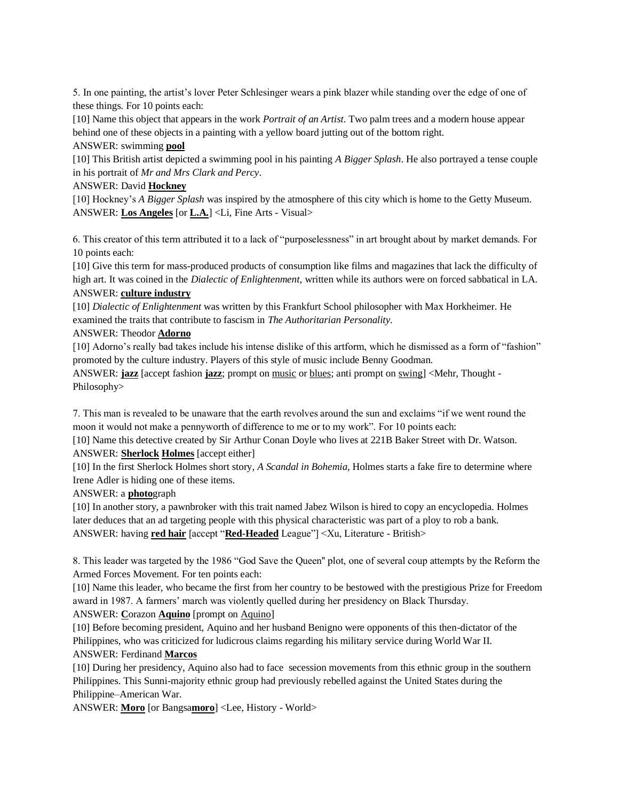5. In one painting, the artist's lover Peter Schlesinger wears a pink blazer while standing over the edge of one of these things. For 10 points each:

[10] Name this object that appears in the work *Portrait of an Artist*. Two palm trees and a modern house appear behind one of these objects in a painting with a yellow board jutting out of the bottom right.

#### ANSWER: swimming **pool**

[10] This British artist depicted a swimming pool in his painting *A Bigger Splash*. He also portrayed a tense couple in his portrait of *Mr and Mrs Clark and Percy*.

#### ANSWER: David **Hockney**

[10] Hockney's *A Bigger Splash* was inspired by the atmosphere of this city which is home to the Getty Museum. ANSWER: **Los Angeles** [or **L.A.**] <Li, Fine Arts - Visual>

6. This creator of this term attributed it to a lack of "purposelessness" in art brought about by market demands. For 10 points each:

[10] Give this term for mass-produced products of consumption like films and magazines that lack the difficulty of high art. It was coined in the *Dialectic of Enlightenment*, written while its authors were on forced sabbatical in LA. ANSWER: **culture industry**

[10] *Dialectic of Enlightenment* was written by this Frankfurt School philosopher with Max Horkheimer. He examined the traits that contribute to fascism in *The Authoritarian Personality*.

#### ANSWER: Theodor **Adorno**

[10] Adorno's really bad takes include his intense dislike of this artform, which he dismissed as a form of "fashion" promoted by the culture industry. Players of this style of music include Benny Goodman.

ANSWER: **jazz** [accept fashion **jazz**; prompt on music or blues; anti prompt on swing] <Mehr, Thought - Philosophy>

7. This man is revealed to be unaware that the earth revolves around the sun and exclaims "if we went round the moon it would not make a pennyworth of difference to me or to my work". For 10 points each:

[10] Name this detective created by Sir Arthur Conan Doyle who lives at 221B Baker Street with Dr. Watson. ANSWER: **Sherlock Holmes** [accept either]

[10] In the first Sherlock Holmes short story, *A Scandal in Bohemia*, Holmes starts a fake fire to determine where Irene Adler is hiding one of these items.

ANSWER: a **photo**graph

[10] In another story, a pawnbroker with this trait named Jabez Wilson is hired to copy an encyclopedia. Holmes later deduces that an ad targeting people with this physical characteristic was part of a ploy to rob a bank. ANSWER: having **red hair** [accept "**Red-Headed** League"] <Xu, Literature - British>

8. This leader was targeted by the 1986 "God Save the Queen'' plot, one of several coup attempts by the Reform the Armed Forces Movement. For ten points each:

[10] Name this leader, who became the first from her country to be bestowed with the prestigious Prize for Freedom award in 1987. A farmers' march was violently quelled during her presidency on Black Thursday. ANSWER: **C**orazon **Aquino** [prompt on Aquino]

[10] Before becoming president, Aquino and her husband Benigno were opponents of this then-dictator of the Philippines, who was criticized for ludicrous claims regarding his military service during World War II.

#### ANSWER: Ferdinand **Marcos**

[10] During her presidency, Aquino also had to face secession movements from this ethnic group in the southern Philippines. This Sunni-majority ethnic group had previously rebelled against the United States during the Philippine–American War.

ANSWER: **Moro** [or Bangsa**moro**] <Lee, History - World>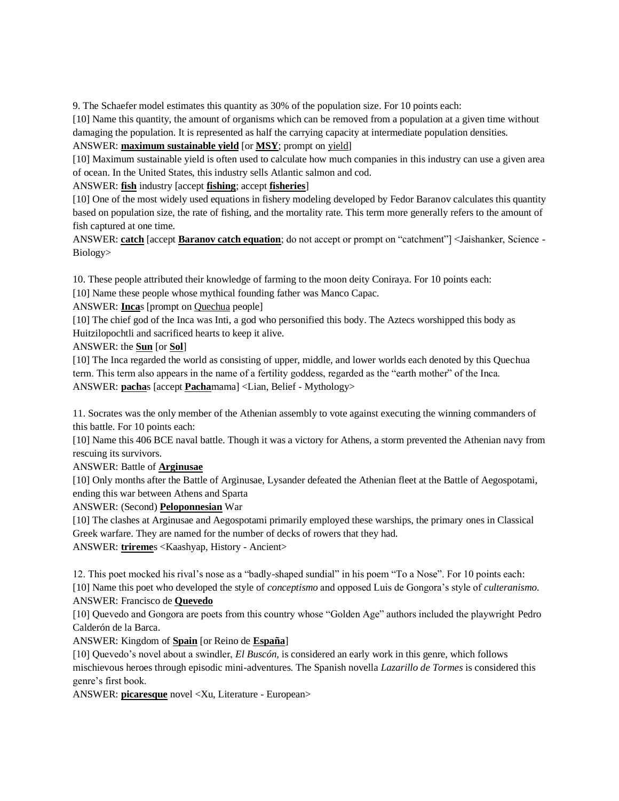9. The Schaefer model estimates this quantity as 30% of the population size. For 10 points each:

[10] Name this quantity, the amount of organisms which can be removed from a population at a given time without damaging the population. It is represented as half the carrying capacity at intermediate population densities.

# ANSWER: **maximum sustainable yield** [or **MSY**; prompt on yield]

[10] Maximum sustainable yield is often used to calculate how much companies in this industry can use a given area of ocean. In the United States, this industry sells Atlantic salmon and cod.

ANSWER: **fish** industry [accept **fishing**; accept **fisheries**]

[10] One of the most widely used equations in fishery modeling developed by Fedor Baranov calculates this quantity based on population size, the rate of fishing, and the mortality rate. This term more generally refers to the amount of fish captured at one time.

ANSWER: **catch** [accept **Baranov catch equation**; do not accept or prompt on "catchment"] <Jaishanker, Science - Biology>

10. These people attributed their knowledge of farming to the moon deity Coniraya. For 10 points each:

[10] Name these people whose mythical founding father was Manco Capac.

ANSWER: **Inca**s [prompt on Quechua people]

[10] The chief god of the Inca was Inti, a god who personified this body. The Aztecs worshipped this body as Huitzilopochtli and sacrificed hearts to keep it alive.

ANSWER: the **Sun** [or **Sol**]

[10] The Inca regarded the world as consisting of upper, middle, and lower worlds each denoted by this Quechua term. This term also appears in the name of a fertility goddess, regarded as the "earth mother" of the Inca. ANSWER: **pacha**s [accept **Pacha**mama] <Lian, Belief - Mythology>

11. Socrates was the only member of the Athenian assembly to vote against executing the winning commanders of this battle. For 10 points each:

[10] Name this 406 BCE naval battle. Though it was a victory for Athens, a storm prevented the Athenian navy from rescuing its survivors.

ANSWER: Battle of **Arginusae**

[10] Only months after the Battle of Arginusae, Lysander defeated the Athenian fleet at the Battle of Aegospotami, ending this war between Athens and Sparta

ANSWER: (Second) **Peloponnesian** War

[10] The clashes at Arginusae and Aegospotami primarily employed these warships, the primary ones in Classical Greek warfare. They are named for the number of decks of rowers that they had. ANSWER: **trireme**s <Kaashyap, History - Ancient>

12. This poet mocked his rival's nose as a "badly-shaped sundial" in his poem "To a Nose". For 10 points each: [10] Name this poet who developed the style of *conceptismo* and opposed Luis de Gongora's style of *culteranismo*. ANSWER: Francisco de **Quevedo**

[10] Quevedo and Gongora are poets from this country whose "Golden Age" authors included the playwright Pedro Calderón de la Barca.

ANSWER: Kingdom of **Spain** [or Reino de **España**]

[10] Quevedo's novel about a swindler, *El Buscón*, is considered an early work in this genre, which follows mischievous heroes through episodic mini-adventures. The Spanish novella *Lazarillo de Tormes* is considered this genre's first book.

ANSWER: **picaresque** novel <Xu, Literature - European>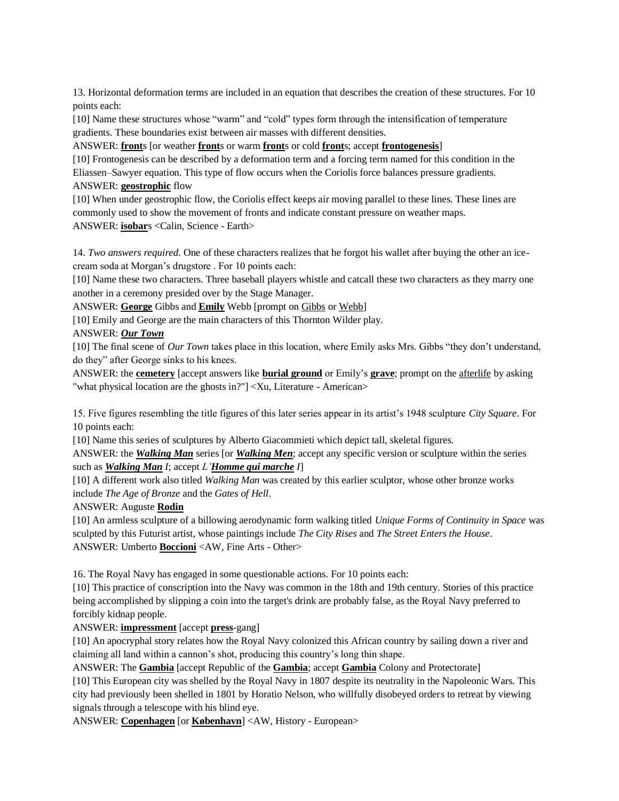13. Horizontal deformation terms are included in an equation that describes the creation of these structures. For 10 points each:

[10] Name these structures whose "warm" and "cold" types form through the intensification of temperature gradients. These boundaries exist between air masses with different densities.

ANSWER: **front**s [or weather **front**s or warm **front**s or cold **front**s; accept **frontogenesis**]

[10] Frontogenesis can be described by a deformation term and a forcing term named for this condition in the Eliassen–Sawyer equation. This type of flow occurs when the Coriolis force balances pressure gradients. ANSWER: **geostrophic** flow

[10] When under geostrophic flow, the Coriolis effect keeps air moving parallel to these lines. These lines are commonly used to show the movement of fronts and indicate constant pressure on weather maps. ANSWER: **isobar**s <Calin, Science - Earth>

14. *Two answers required.* One of these characters realizes that he forgot his wallet after buying the other an icecream soda at Morgan's drugstore . For 10 points each:

[10] Name these two characters. Three baseball players whistle and catcall these two characters as they marry one another in a ceremony presided over by the Stage Manager.

ANSWER: **George** Gibbs and **Emily** Webb [prompt on Gibbs or Webb]

[10] Emily and George are the main characters of this Thornton Wilder play.

ANSWER: *Our Town*

[10] The final scene of *Our Town* takes place in this location, where Emily asks Mrs. Gibbs "they don't understand, do they" after George sinks to his knees.

ANSWER: the **cemetery** [accept answers like **burial ground** or Emily's **grave**; prompt on the afterlife by asking "what physical location are the ghosts in?"] <Xu, Literature - American>

15. Five figures resembling the title figures of this later series appear in its artist's 1948 sculpture *City Square*. For 10 points each:

[10] Name this series of sculptures by Alberto Giacommieti which depict tall, skeletal figures.

ANSWER: the *Walking Man* series [or *Walking Men*; accept any specific version or sculpture within the series such as *Walking Man I*; accept *L'Homme qui marche I*]

[10] A different work also titled *Walking Man* was created by this earlier sculptor, whose other bronze works include *The Age of Bronze* and the *Gates of Hell*.

ANSWER: Auguste **Rodin** 

[10] An armless sculpture of a billowing aerodynamic form walking titled *Unique Forms of Continuity in Space* was sculpted by this Futurist artist, whose paintings include *The City Rises* and *The Street Enters the House*. ANSWER: Umberto **Boccioni** <AW, Fine Arts - Other>

16. The Royal Navy has engaged in some questionable actions. For 10 points each:

[10] This practice of conscription into the Navy was common in the 18th and 19th century. Stories of this practice being accomplished by slipping a coin into the target's drink are probably false, as the Royal Navy preferred to forcibly kidnap people.

ANSWER: **impressment** [accept **press**-gang]

[10] An apocryphal story relates how the Royal Navy colonized this African country by sailing down a river and claiming all land within a cannon's shot, producing this country's long thin shape.

ANSWER: The **Gambia** [accept Republic of the **Gambia**; accept **Gambia** Colony and Protectorate]

[10] This European city was shelled by the Royal Navy in 1807 despite its neutrality in the Napoleonic Wars. This city had previously been shelled in 1801 by Horatio Nelson, who willfully disobeyed orders to retreat by viewing signals through a telescope with his blind eye.

ANSWER: **Copenhagen** [or **København**] <AW, History - European>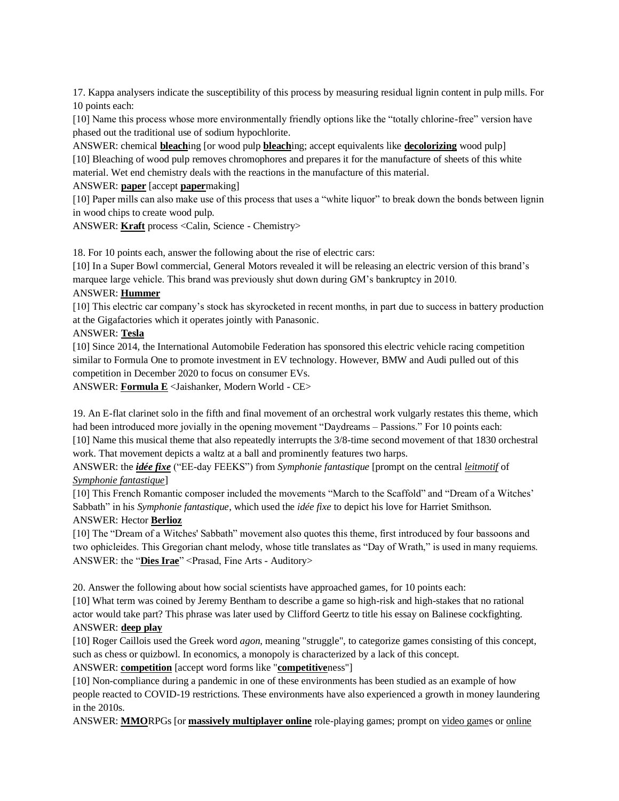17. Kappa analysers indicate the susceptibility of this process by measuring residual lignin content in pulp mills. For 10 points each:

[10] Name this process whose more environmentally friendly options like the "totally chlorine-free" version have phased out the traditional use of sodium hypochlorite.

ANSWER: chemical **bleach**ing [or wood pulp **bleach**ing; accept equivalents like **decolorizing** wood pulp] [10] Bleaching of wood pulp removes chromophores and prepares it for the manufacture of sheets of this white material. Wet end chemistry deals with the reactions in the manufacture of this material.

ANSWER: **paper** [accept **paper**making]

[10] Paper mills can also make use of this process that uses a "white liquor" to break down the bonds between lignin in wood chips to create wood pulp.

ANSWER: **Kraft** process <Calin, Science - Chemistry>

18. For 10 points each, answer the following about the rise of electric cars:

[10] In a Super Bowl commercial, General Motors revealed it will be releasing an electric version of this brand's marquee large vehicle. This brand was previously shut down during GM's bankruptcy in 2010.

#### ANSWER: **Hummer**

[10] This electric car company's stock has skyrocketed in recent months, in part due to success in battery production at the Gigafactories which it operates jointly with Panasonic.

#### ANSWER: **Tesla**

[10] Since 2014, the International Automobile Federation has sponsored this electric vehicle racing competition similar to Formula One to promote investment in EV technology. However, BMW and Audi pulled out of this competition in December 2020 to focus on consumer EVs.

ANSWER: **Formula E** <Jaishanker, Modern World - CE>

19. An E-flat clarinet solo in the fifth and final movement of an orchestral work vulgarly restates this theme, which had been introduced more jovially in the opening movement "Daydreams – Passions." For 10 points each:

[10] Name this musical theme that also repeatedly interrupts the 3/8-time second movement of that 1830 orchestral work. That movement depicts a waltz at a ball and prominently features two harps.

ANSWER: the *idée fixe* ("EE-day FEEKS") from *Symphonie fantastique* [prompt on the central *leitmotif* of *Symphonie fantastique*]

[10] This French Romantic composer included the movements "March to the Scaffold" and "Dream of a Witches' Sabbath" in his *Symphonie fantastique*, which used the *idée fixe* to depict his love for Harriet Smithson. ANSWER: Hector **Berlioz**

[10] The "Dream of a Witches' Sabbath" movement also quotes this theme, first introduced by four bassoons and two ophicleides. This Gregorian chant melody, whose title translates as "Day of Wrath," is used in many requiems. ANSWER: the "**Dies Irae**" <Prasad, Fine Arts - Auditory>

20. Answer the following about how social scientists have approached games, for 10 points each:

[10] What term was coined by Jeremy Bentham to describe a game so high-risk and high-stakes that no rational actor would take part? This phrase was later used by Clifford Geertz to title his essay on Balinese cockfighting. ANSWER: **deep play**

[10] Roger Caillois used the Greek word *agon*, meaning "struggle", to categorize games consisting of this concept, such as chess or quizbowl. In economics, a monopoly is characterized by a lack of this concept.

ANSWER: **competition** [accept word forms like "**competitive**ness"]

[10] Non-compliance during a pandemic in one of these environments has been studied as an example of how people reacted to COVID-19 restrictions. These environments have also experienced a growth in money laundering in the 2010s.

ANSWER: **MMO**RPGs [or **massively multiplayer online** role-playing games; prompt on video games or online